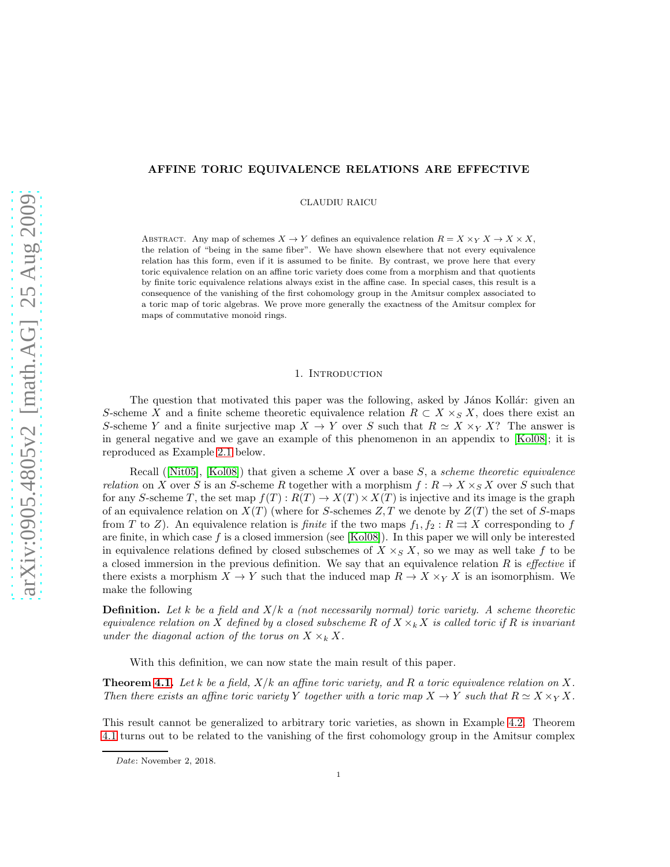# AFFINE TORIC EQUIVALENCE RELATIONS ARE EFFECTIVE

CLAUDIU RAICU

ABSTRACT. Any map of schemes  $X \to Y$  defines an equivalence relation  $R = X \times_Y X \to X \times X$ , the relation of "being in the same fiber". We have shown elsewhere that not every equivalence relation has this form, even if it is assumed to be finite. By contrast, we prove here that every toric equivalence relation on an affine toric variety does come from a morphism and that quotients by finite toric equivalence relations always exist in the affine case. In special cases, this result is a consequence of the vanishing of the first cohomology group in the Amitsur complex associated to a toric map of toric algebras. We prove more generally the exactness of the Amitsur complex for maps of commutative monoid rings.

# 1. INTRODUCTION

The question that motivated this paper was the following, asked by János Kollár: given an S-scheme X and a finite scheme theoretic equivalence relation  $R \subset X \times_S X$ , does there exist an S-scheme Y and a finite surjective map  $X \to Y$  over S such that  $R \simeq X \times_Y X$ ? The answer is in general negative and we gave an example of this phenomenon in an appendix to [\[Kol08\]](#page-11-0); it is reproduced as Example [2.1](#page-2-0) below.

Recall ( $[Nit05]$ ,  $[Kol08]$ ) that given a scheme X over a base S, a scheme theoretic equivalence relation on X over S is an S-scheme R together with a morphism  $f: R \to X \times_S X$  over S such that for any S-scheme T, the set map  $f(T) : R(T) \to X(T) \times X(T)$  is injective and its image is the graph of an equivalence relation on  $X(T)$  (where for S-schemes Z, T we denote by  $Z(T)$  the set of S-maps from T to Z). An equivalence relation is finite if the two maps  $f_1, f_2 : R \rightrightarrows X$  corresponding to f are finite, in which case  $f$  is a closed immersion (see [\[Kol08\]](#page-11-0)). In this paper we will only be interested in equivalence relations defined by closed subschemes of  $X \times_S X$ , so we may as well take f to be a closed immersion in the previous definition. We say that an equivalence relation  $R$  is *effective* if there exists a morphism  $X \to Y$  such that the induced map  $R \to X \times_Y X$  is an isomorphism. We make the following

**Definition.** Let k be a field and  $X/k$  a (not necessarily normal) toric variety. A scheme theoretic equivalence relation on X defined by a closed subscheme R of  $X \times_k X$  is called toric if R is invariant under the diagonal action of the torus on  $X \times_k X$ .

With this definition, we can now state the main result of this paper.

**Theorem [4.1.](#page-5-0)** Let k be a field,  $X/k$  an affine toric variety, and R a toric equivalence relation on X. Then there exists an affine toric variety Y together with a toric map  $X \to Y$  such that  $R \simeq X \times_Y X$ .

This result cannot be generalized to arbitrary toric varieties, as shown in Example [4.2.](#page-5-1) Theorem [4.1](#page-5-0) turns out to be related to the vanishing of the first cohomology group in the Amitsur complex

Date: November 2, 2018.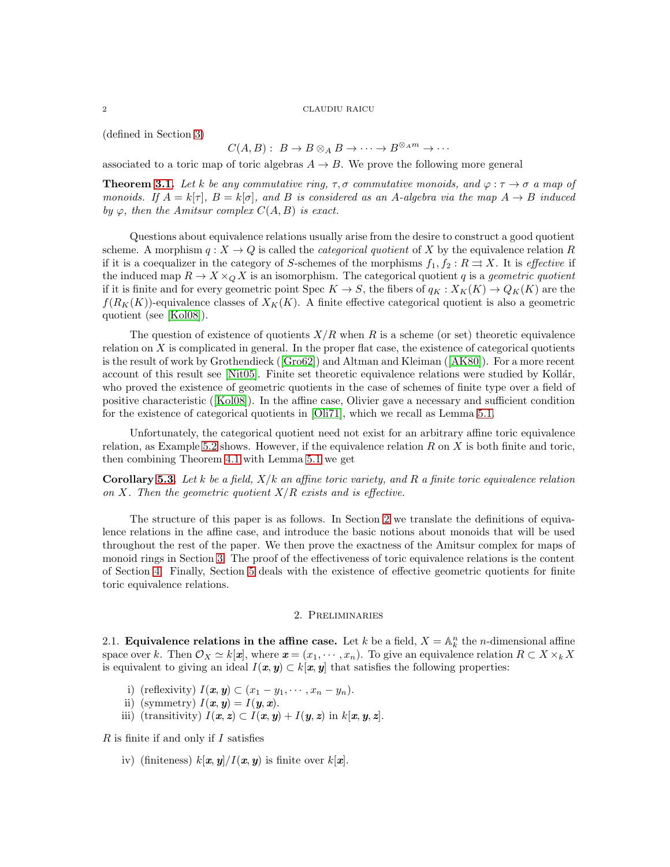(defined in Section [3\)](#page-3-0)

# $C(A, B): B \to B \otimes_A B \to \cdots \to B^{\otimes_A m} \to \cdots$

associated to a toric map of toric algebras  $A \rightarrow B$ . We prove the following more general

**Theorem [3.1.](#page-4-0)** Let k be any commutative ring,  $\tau$ ,  $\sigma$  commutative monoids, and  $\varphi : \tau \to \sigma$  a map of monoids. If  $A = k[\tau], B = k[\sigma],$  and B is considered as an A-algebra via the map  $A \to B$  induced by  $\varphi$ , then the Amitsur complex  $C(A, B)$  is exact.

Questions about equivalence relations usually arise from the desire to construct a good quotient scheme. A morphism  $q: X \to Q$  is called the *categorical quotient* of X by the equivalence relation R if it is a coequalizer in the category of S-schemes of the morphisms  $f_1, f_2 : R \rightrightarrows X$ . It is effective if the induced map  $R \to X \times_{Q} X$  is an isomorphism. The categorical quotient q is a *geometric quotient* if it is finite and for every geometric point Spec  $K \to S$ , the fibers of  $q_K : X_K(K) \to Q_K(K)$  are the  $f(R_K(K))$ -equivalence classes of  $X_K(K)$ . A finite effective categorical quotient is also a geometric quotient (see [\[Kol08\]](#page-11-0)).

The question of existence of quotients  $X/R$  when R is a scheme (or set) theoretic equivalence relation on  $X$  is complicated in general. In the proper flat case, the existence of categorical quotients is the result of work by Grothendieck ([\[Gro62\]](#page-11-2)) and Altman and Kleiman ([\[AK80\]](#page-11-3)). For a more recent account of this result see [\[Nit05\]](#page-11-1). Finite set theoretic equivalence relations were studied by Kollár, who proved the existence of geometric quotients in the case of schemes of finite type over a field of positive characteristic ([\[Kol08\]](#page-11-0)). In the affine case, Olivier gave a necessary and sufficient condition for the existence of categorical quotients in [\[Oli71\]](#page-12-0), which we recall as Lemma [5.1.](#page-10-0)

Unfortunately, the categorical quotient need not exist for an arbitrary affine toric equivalence relation, as Example [5.2](#page-11-4) shows. However, if the equivalence relation  $R$  on  $X$  is both finite and toric, then combining Theorem [4.1](#page-5-0) with Lemma [5.1](#page-10-0) we get

**Corollary [5.3.](#page-11-5)** Let k be a field,  $X/k$  an affine toric variety, and R a finite toric equivalence relation on X. Then the geometric quotient  $X/R$  exists and is effective.

The structure of this paper is as follows. In Section [2](#page-1-0) we translate the definitions of equivalence relations in the affine case, and introduce the basic notions about monoids that will be used throughout the rest of the paper. We then prove the exactness of the Amitsur complex for maps of monoid rings in Section [3.](#page-3-0) The proof of the effectiveness of toric equivalence relations is the content of Section [4.](#page-5-2) Finally, Section [5](#page-10-1) deals with the existence of effective geometric quotients for finite toric equivalence relations.

## 2. Preliminaries

<span id="page-1-0"></span>2.1. **Equivalence relations in the affine case.** Let k be a field,  $X = \mathbb{A}^n_k$  the n-dimensional affine space over k. Then  $\mathcal{O}_X \simeq k[\mathbf{x}]$ , where  $\mathbf{x} = (x_1, \dots, x_n)$ . To give an equivalence relation  $R \subset X \times_k X$ is equivalent to giving an ideal  $I(x, y) \subset k[x, y]$  that satisfies the following properties:

- i) (reflexivity)  $I(x, y) \subset (x_1 y_1, \dots, x_n y_n)$ .
- ii) (symmetry)  $I(\boldsymbol{x}, \boldsymbol{y}) = I(\boldsymbol{y}, \boldsymbol{x})$ .
- iii) (transitivity)  $I(x, z) \subset I(x, y) + I(y, z)$  in  $k[x, y, z]$ .

 $R$  is finite if and only if  $I$  satisfies

iv) (finiteness)  $k[\mathbf{x}, \mathbf{y}]/I(\mathbf{x}, \mathbf{y})$  is finite over  $k[\mathbf{x}]$ .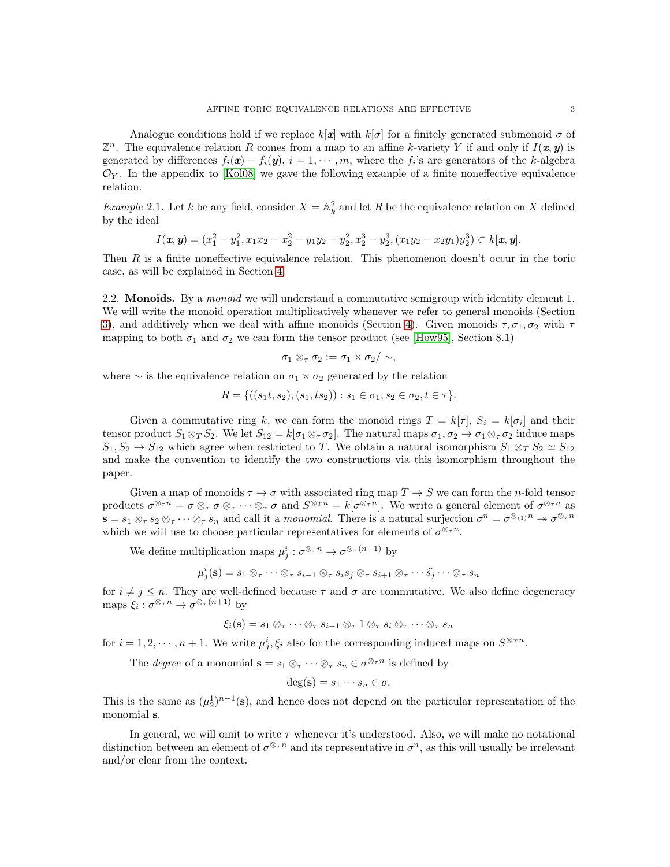Analogue conditions hold if we replace  $k[x]$  with  $k[\sigma]$  for a finitely generated submonoid  $\sigma$  of  $\mathbb{Z}^n$ . The equivalence relation R comes from a map to an affine k-variety Y if and only if  $I(\mathbf{x}, \mathbf{y})$  is generated by differences  $f_i(\mathbf{x}) - f_i(\mathbf{y}), i = 1, \cdots, m$ , where the  $f_i$ 's are generators of the k-algebra  $\mathcal{O}_Y$ . In the appendix to [\[Kol08\]](#page-11-0) we gave the following example of a finite noneffective equivalence relation.

<span id="page-2-0"></span>*Example* 2.1. Let k be any field, consider  $X = \mathbb{A}_k^2$  and let R be the equivalence relation on X defined by the ideal

$$
I(\mathbf{x}, \mathbf{y}) = (x_1^2 - y_1^2, x_1x_2 - x_2^2 - y_1y_2 + y_2^2, x_2^3 - y_2^3, (x_1y_2 - x_2y_1)y_2^3) \subset k[\mathbf{x}, \mathbf{y}].
$$

Then  $R$  is a finite noneffective equivalence relation. This phenomenon doesn't occur in the toric case, as will be explained in Section [4.](#page-5-2)

2.2. **Monoids.** By a *monoid* we will understand a commutative semigroup with identity element 1. We will write the monoid operation multiplicatively whenever we refer to general monoids (Section [3\)](#page-3-0), and additively when we deal with affine monoids (Section [4\)](#page-5-2). Given monoids  $\tau$ ,  $\sigma_1$ ,  $\sigma_2$  with  $\tau$ mapping to both  $\sigma_1$  and  $\sigma_2$  we can form the tensor product (see [\[How95\]](#page-11-6), Section 8.1)

$$
\sigma_1\otimes_\tau\sigma_2:=\sigma_1\times\sigma_2/\sim,
$$

where  $\sim$  is the equivalence relation on  $\sigma_1 \times \sigma_2$  generated by the relation

$$
R = \{ ((s_1t, s_2), (s_1, ts_2)) : s_1 \in \sigma_1, s_2 \in \sigma_2, t \in \tau \}.
$$

Given a commutative ring k, we can form the monoid rings  $T = k[\tau]$ ,  $S_i = k[\sigma_i]$  and their tensor product  $S_1 \otimes_T S_2$ . We let  $S_{12} = k[\sigma_1 \otimes_\tau \sigma_2]$ . The natural maps  $\sigma_1, \sigma_2 \to \sigma_1 \otimes_\tau \sigma_2$  induce maps  $S_1, S_2 \to S_{12}$  which agree when restricted to T. We obtain a natural isomorphism  $S_1 \otimes_T S_2 \simeq S_{12}$ and make the convention to identify the two constructions via this isomorphism throughout the paper.

Given a map of monoids  $\tau \to \sigma$  with associated ring map  $T \to S$  we can form the *n*-fold tensor products  $\sigma^{\otimes_{\tau} n} = \sigma \otimes_{\tau} \sigma \otimes_{\tau} \cdots \otimes_{\tau} \sigma$  and  $S^{\otimes_{T} n} = k[\sigma^{\otimes_{T} n}]$ . We write a general element of  $\sigma^{\otimes_{T} n}$  as  $\mathbf{s} = s_1 \otimes_\tau s_2 \otimes_\tau \cdots \otimes_\tau s_n$  and call it a monomial. There is a natural surjection  $\sigma^n = \sigma^{\otimes_{(1)}n} \twoheadrightarrow \sigma^{\otimes_\tau n}$ which we will use to choose particular representatives for elements of  $\sigma^{\otimes_{\tau} n}$ .

We define multiplication maps  $\mu_j^i : \sigma^{\otimes_\tau n} \to \sigma^{\otimes_\tau (n-1)}$  by

$$
\mu_j^i(\mathbf{s}) = s_1 \otimes_\tau \cdots \otimes_\tau s_{i-1} \otimes_\tau s_i s_j \otimes_\tau s_{i+1} \otimes_\tau \cdots \widehat{s_j} \cdots \otimes_\tau s_n
$$

for  $i \neq j \leq n$ . They are well-defined because  $\tau$  and  $\sigma$  are commutative. We also define degeneracy maps  $\xi_i : \sigma^{\otimes_\tau n} \to \sigma^{\otimes_\tau (n+1)}$  by

$$
\xi_i(\mathbf{s}) = s_1 \otimes_\tau \cdots \otimes_\tau s_{i-1} \otimes_\tau 1 \otimes_\tau s_i \otimes_\tau \cdots \otimes_\tau s_n
$$

for  $i = 1, 2, \dots, n + 1$ . We write  $\mu_j^i, \xi_i$  also for the corresponding induced maps on  $S^{\otimes_T n}$ .

The *degree* of a monomial  $\mathbf{s} = s_1 \otimes_\tau \cdots \otimes_\tau s_n \in \sigma^{\otimes_\tau n}$  is defined by

$$
\deg(\mathbf{s}) = s_1 \cdots s_n \in \sigma.
$$

This is the same as  $(\mu_2^1)^{n-1}(\mathbf{s})$ , and hence does not depend on the particular representation of the monomial s.

In general, we will omit to write  $\tau$  whenever it's understood. Also, we will make no notational distinction between an element of  $\sigma^{\otimes_{\tau} n}$  and its representative in  $\sigma^n$ , as this will usually be irrelevant and/or clear from the context.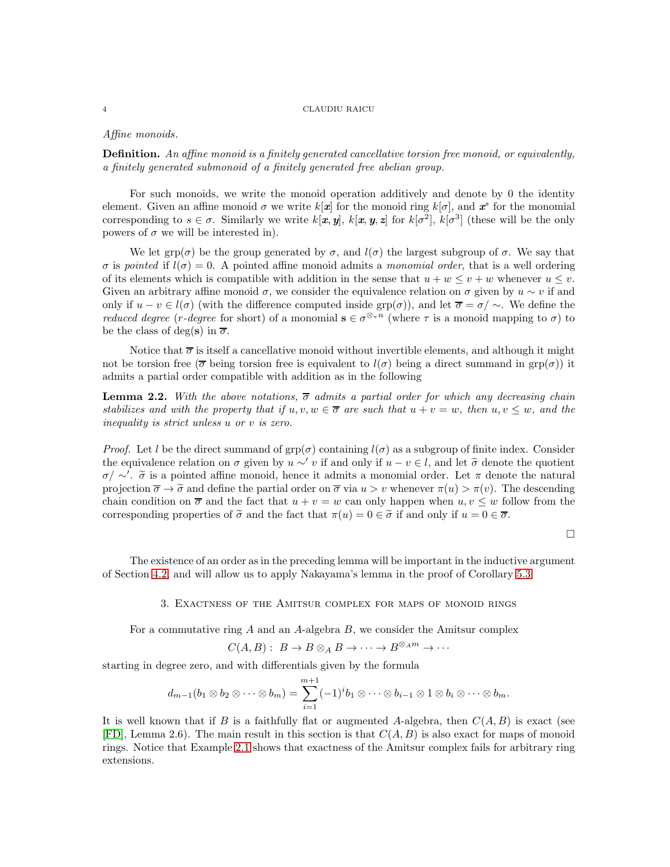# Affine monoids.

**Definition.** An affine monoid is a finitely generated cancellative torsion free monoid, or equivalently, a finitely generated submonoid of a finitely generated free abelian group.

For such monoids, we write the monoid operation additively and denote by 0 the identity element. Given an affine monoid  $\sigma$  we write  $k[\mathbf{x}]$  for the monoid ring  $k[\sigma]$ , and  $\mathbf{x}^s$  for the monomial corresponding to  $s \in \sigma$ . Similarly we write  $k[\mathbf{x}, \mathbf{y}], k[\mathbf{x}, \mathbf{y}, \mathbf{z}]$  for  $k[\sigma^2], k[\sigma^3]$  (these will be the only powers of  $\sigma$  we will be interested in).

We let grp( $\sigma$ ) be the group generated by  $\sigma$ , and  $l(\sigma)$  the largest subgroup of  $\sigma$ . We say that σ is pointed if  $l(σ) = 0$ . A pointed affine monoid admits a monomial order, that is a well ordering of its elements which is compatible with addition in the sense that  $u + w \leq v + w$  whenever  $u \leq v$ . Given an arbitrary affine monoid  $\sigma$ , we consider the equivalence relation on  $\sigma$  given by  $u \sim v$  if and only if  $u - v \in l(\sigma)$  (with the difference computed inside grp( $\sigma$ )), and let  $\overline{\sigma} = \sigma / \sim$ . We define the *reduced degree* (*r*-degree for short) of a monomial  $\mathbf{s} \in \sigma^{\otimes_{\tau} n}$  (where  $\tau$  is a monoid mapping to  $\sigma$ ) to be the class of deg(s) in  $\overline{\sigma}$ .

Notice that  $\overline{\sigma}$  is itself a cancellative monoid without invertible elements, and although it might not be torsion free ( $\overline{\sigma}$  being torsion free is equivalent to  $l(\sigma)$  being a direct summand in grp( $\sigma$ ) it admits a partial order compatible with addition as in the following

<span id="page-3-1"></span>**Lemma 2.2.** With the above notations,  $\overline{\sigma}$  admits a partial order for which any decreasing chain stabilizes and with the property that if  $u, v, w \in \overline{\sigma}$  are such that  $u + v = w$ , then  $u, v \leq w$ , and the inequality is strict unless u or v is zero.

*Proof.* Let l be the direct summand of  $\text{grp}(\sigma)$  containing  $l(\sigma)$  as a subgroup of finite index. Consider the equivalence relation on  $\sigma$  given by  $u \sim' v$  if and only if  $u - v \in l$ , and let  $\tilde{\sigma}$  denote the quotient  $\sigma/\sim'$ .  $\tilde{\sigma}$  is a pointed affine monoid, hence it admits a monomial order. Let π denote the natural projection  $\overline{\sigma} \to \widetilde{\sigma}$  and define the partial order on  $\overline{\sigma}$  via  $u > v$  whenever  $\pi(u) > \pi(v)$ . The descending chain condition on  $\overline{\sigma}$  and the fact that  $u + v = w$  can only happen when  $u, v \leq w$  follow from the corresponding properties of  $\tilde{\sigma}$  and the fact that  $\pi(u) = 0 \in \tilde{\sigma}$  if and only if  $u = 0 \in \overline{\sigma}$ .

 $\Box$ 

<span id="page-3-0"></span>The existence of an order as in the preceding lemma will be important in the inductive argument of Section [4.2,](#page-6-0) and will allow us to apply Nakayama's lemma in the proof of Corollary [5.3.](#page-11-5)

## 3. Exactness of the Amitsur complex for maps of monoid rings

For a commutative ring  $A$  and an  $A$ -algebra  $B$ , we consider the Amitsur complex

$$
C(A, B): B \to B \otimes_A B \to \cdots \to B^{\otimes_A m} \to \cdots
$$

starting in degree zero, and with differentials given by the formula

$$
d_{m-1}(b_1\otimes b_2\otimes\cdots\otimes b_m)=\sum_{i=1}^{m+1}(-1)^ib_1\otimes\cdots\otimes b_{i-1}\otimes 1\otimes b_i\otimes\cdots\otimes b_m.
$$

It is well known that if B is a faithfully flat or augmented A-algebra, then  $C(A, B)$  is exact (see [\[FD\]](#page-11-7), Lemma 2.6). The main result in this section is that  $C(A, B)$  is also exact for maps of monoid rings. Notice that Example [2.1](#page-2-0) shows that exactness of the Amitsur complex fails for arbitrary ring extensions.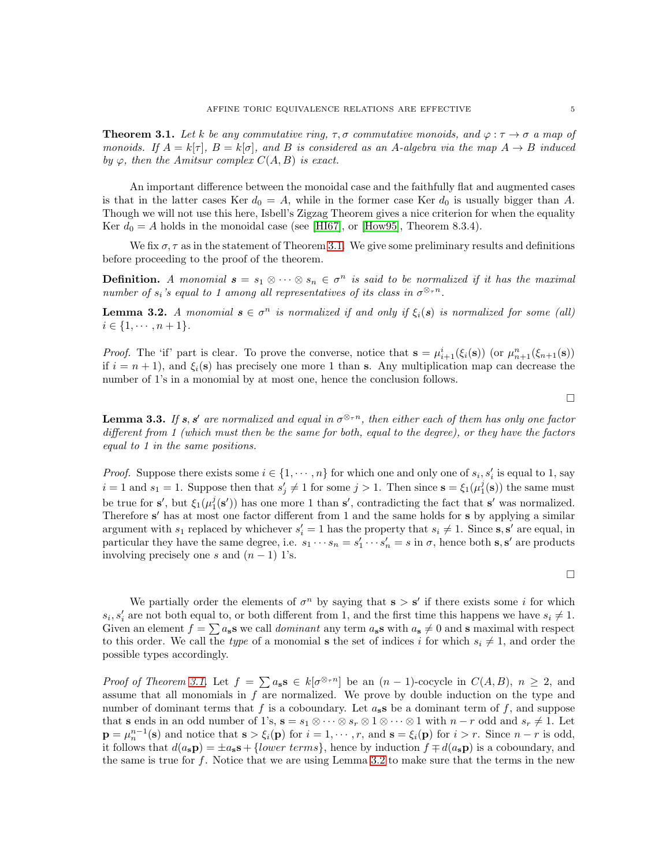<span id="page-4-0"></span>**Theorem 3.1.** Let k be any commutative ring,  $\tau, \sigma$  commutative monoids, and  $\varphi : \tau \to \sigma$  a map of monoids. If  $A = k[\tau], B = k[\sigma],$  and B is considered as an A-algebra via the map  $A \to B$  induced by  $\varphi$ , then the Amitsur complex  $C(A, B)$  is exact.

An important difference between the monoidal case and the faithfully flat and augmented cases is that in the latter cases Ker  $d_0 = A$ , while in the former case Ker  $d_0$  is usually bigger than A. Though we will not use this here, Isbell's Zigzag Theorem gives a nice criterion for when the equality Ker  $d_0 = A$  holds in the monoidal case (see [\[HI67\]](#page-11-8), or [\[How95\]](#page-11-6), Theorem 8.3.4).

We fix  $\sigma$ ,  $\tau$  as in the statement of Theorem [3.1.](#page-4-0) We give some preliminary results and definitions before proceeding to the proof of the theorem.

**Definition.** A monomial  $s = s_1 \otimes \cdots \otimes s_n \in \sigma^n$  is said to be normalized if it has the maximal number of  $s_i$ 's equal to 1 among all representatives of its class in  $\sigma^{\otimes_{\tau} n}$ .

<span id="page-4-1"></span>**Lemma 3.2.** A monomial  $s \in \sigma^n$  is normalized if and only if  $\xi_i(s)$  is normalized for some (all)  $i \in \{1, \cdots, n+1\}.$ 

*Proof.* The 'if' part is clear. To prove the converse, notice that  $\mathbf{s} = \mu_{i+1}^i(\xi_i(\mathbf{s}))$  (or  $\mu_{n+1}^n(\xi_{n+1}(\mathbf{s}))$ ) if  $i = n + 1$ , and  $\xi_i(\mathbf{s})$  has precisely one more 1 than s. Any multiplication map can decrease the number of 1's in a monomial by at most one, hence the conclusion follows.

 $\Box$ 

<span id="page-4-2"></span>**Lemma 3.3.** If s, s' are normalized and equal in  $\sigma^{\otimes_{\tau} n}$ , then either each of them has only one factor different from 1 (which must then be the same for both, equal to the degree), or they have the factors equal to 1 in the same positions.

*Proof.* Suppose there exists some  $i \in \{1, \dots, n\}$  for which one and only one of  $s_i, s'_i$  is equal to 1, say  $i = 1$  and  $s_1 = 1$ . Suppose then that  $s'_j \neq 1$  for some  $j > 1$ . Then since  $\mathbf{s} = \xi_1(\mu_1^j(\mathbf{s}))$  the same must be true for  $s'$ , but  $\xi_1(\mu_1^j(s'))$  has one more 1 than  $s'$ , contradicting the fact that  $s'$  was normalized. Therefore s' has at most one factor different from 1 and the same holds for s by applying a similar argument with  $s_1$  replaced by whichever  $s'_i = 1$  has the property that  $s_i \neq 1$ . Since s, s' are equal, in particular they have the same degree, i.e.  $s_1 \cdots s_n = s'_1 \cdots s'_n = s$  in  $\sigma$ , hence both s, s' are products involving precisely one s and  $(n-1)$  1's.

 $\Box$ 

We partially order the elements of  $\sigma^n$  by saying that  $s > s'$  if there exists some i for which  $s_i, s'_i$  are not both equal to, or both different from 1, and the first time this happens we have  $s_i \neq 1$ . Given an element  $f = \sum a_s s$  we call *dominant* any term  $a_s s$  with  $a_s \neq 0$  and s maximal with respect to this order. We call the type of a monomial s the set of indices i for which  $s_i \neq 1$ , and order the possible types accordingly.

Proof of Theorem [3.1.](#page-4-0) Let  $f = \sum a_s s \in k[\sigma^{\otimes_{\tau} n}]$  be an  $(n-1)$ -cocycle in  $C(A, B)$ ,  $n \geq 2$ , and assume that all monomials in  $f$  are normalized. We prove by double induction on the type and number of dominant terms that f is a coboundary. Let  $a_s s$  be a dominant term of f, and suppose that s ends in an odd number of 1's,  $s = s_1 \otimes \cdots \otimes s_r \otimes 1 \otimes \cdots \otimes 1$  with  $n-r$  odd and  $s_r \neq 1$ . Let  $\mathbf{p} = \mu_n^{n-1}(\mathbf{s})$  and notice that  $\mathbf{s} > \xi_i(\mathbf{p})$  for  $i = 1, \dots, r$ , and  $\mathbf{s} = \xi_i(\mathbf{p})$  for  $i > r$ . Since  $n-r$  is odd, it follows that  $d(a_s\mathbf{p}) = \pm a_s\mathbf{s} + \{lower \ terms\}$ , hence by induction  $f \mp d(a_s\mathbf{p})$  is a coboundary, and the same is true for f. Notice that we are using Lemma [3.2](#page-4-1) to make sure that the terms in the new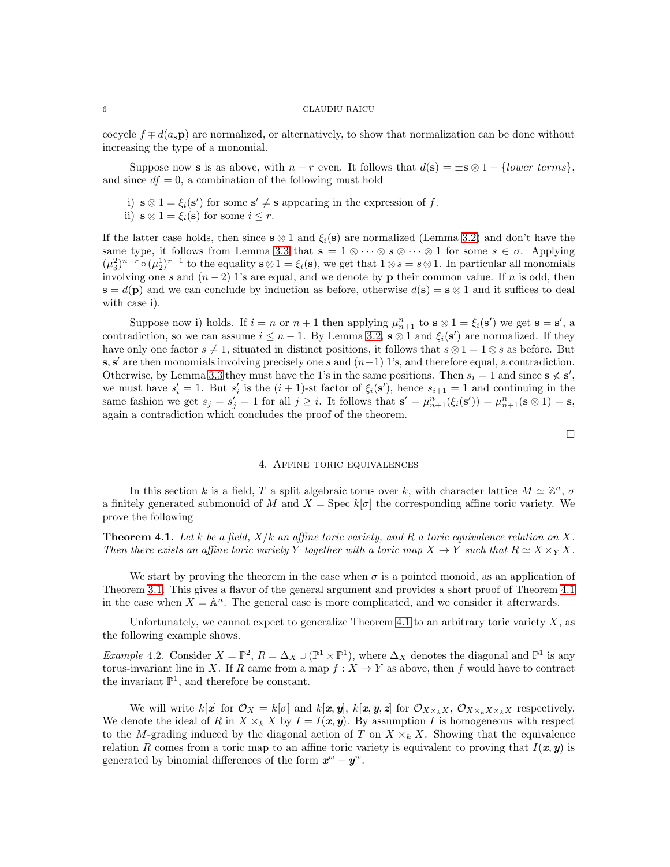cocycle  $f \neq d(a_s \mathbf{p})$  are normalized, or alternatively, to show that normalization can be done without increasing the type of a monomial.

Suppose now **s** is as above, with  $n - r$  even. It follows that  $d(\mathbf{s}) = \pm \mathbf{s} \otimes 1 + \{lower \ terms\},$ and since  $df = 0$ , a combination of the following must hold

- i)  $\mathbf{s} \otimes 1 = \xi_i(\mathbf{s}')$  for some  $\mathbf{s}' \neq \mathbf{s}$  appearing in the expression of f.
- ii)  $s \otimes 1 = \xi_i(s)$  for some  $i \leq r$ .

If the latter case holds, then since  $s \otimes 1$  and  $\xi_i(s)$  are normalized (Lemma [3.2\)](#page-4-1) and don't have the same type, it follows from Lemma [3.3](#page-4-2) that  $\mathbf{s} = 1 \otimes \cdots \otimes s \otimes \cdots \otimes 1$  for some  $s \in \sigma$ . Applying  $(\mu_3^2)^{n-r} \circ (\mu_2^1)^{r-1}$  to the equality  $s \otimes 1 = \xi_i(s)$ , we get that  $1 \otimes s = s \otimes 1$ . In particular all monomials involving one s and  $(n-2)$  1's are equal, and we denote by **p** their common value. If n is odd, then  $\mathbf{s} = d(\mathbf{p})$  and we can conclude by induction as before, otherwise  $d(\mathbf{s}) = \mathbf{s} \otimes 1$  and it suffices to deal with case i).

Suppose now i) holds. If  $i = n$  or  $n + 1$  then applying  $\mu_{n+1}^n$  to  $s \otimes 1 = \xi_i(s')$  we get  $s = s'$ , a contradiction, so we can assume  $i \leq n-1$ . By Lemma [3.2,](#page-4-1)  $s \otimes 1$  and  $\xi_i(s')$  are normalized. If they have only one factor  $s \neq 1$ , situated in distinct positions, it follows that  $s \otimes 1 = 1 \otimes s$  as before. But  $s, s'$  are then monomials involving precisely one s and  $(n-1)$  1's, and therefore equal, a contradiction. Otherwise, by Lemma [3.3](#page-4-2) they must have the 1's in the same positions. Then  $s_i = 1$  and since  $s \nless s'$ , we must have  $s_i' = 1$ . But  $s_i'$  is the  $(i + 1)$ -st factor of  $\xi_i(\mathbf{s}')$ , hence  $s_{i+1} = 1$  and continuing in the same fashion we get  $s_j = s'_j = 1$  for all  $j \geq i$ . It follows that  $\mathbf{s}' = \mu_{n+1}^n(\xi_i(\mathbf{s}')) = \mu_{n+1}^n(\mathbf{s} \otimes 1) = \mathbf{s}$ , again a contradiction which concludes the proof of the theorem.

 $\Box$ 

## 4. Affine toric equivalences

<span id="page-5-2"></span>In this section k is a field, T a split algebraic torus over k, with character lattice  $M \simeq \mathbb{Z}^n$ ,  $\sigma$ a finitely generated submonoid of M and  $X = \text{Spec } k[\sigma]$  the corresponding affine toric variety. We prove the following

<span id="page-5-0"></span>**Theorem 4.1.** Let k be a field,  $X/k$  an affine toric variety, and R a toric equivalence relation on X. Then there exists an affine toric variety Y together with a toric map  $X \to Y$  such that  $R \simeq X \times_Y X$ .

We start by proving the theorem in the case when  $\sigma$  is a pointed monoid, as an application of Theorem [3.1.](#page-4-0) This gives a flavor of the general argument and provides a short proof of Theorem [4.1](#page-5-0) in the case when  $X = \mathbb{A}^n$ . The general case is more complicated, and we consider it afterwards.

Unfortunately, we cannot expect to generalize Theorem [4.1](#page-5-0) to an arbitrary toric variety  $X$ , as the following example shows.

<span id="page-5-1"></span>*Example* 4.2. Consider  $X = \mathbb{P}^2$ ,  $R = \Delta_X \cup (\mathbb{P}^1 \times \mathbb{P}^1)$ , where  $\Delta_X$  denotes the diagonal and  $\mathbb{P}^1$  is any torus-invariant line in X. If R came from a map  $f: X \to Y$  as above, then f would have to contract the invariant  $\mathbb{P}^1$ , and therefore be constant.

We will write  $k[\mathbf{x}]$  for  $\mathcal{O}_X = k[\sigma]$  and  $k[\mathbf{x}, \mathbf{y}], k[\mathbf{x}, \mathbf{y}, \mathbf{z}]$  for  $\mathcal{O}_{X \times_k X}$ ,  $\mathcal{O}_{X \times_k X \times_k X}$  respectively. We denote the ideal of R in  $X \times_k X$  by  $I = I(x, y)$ . By assumption I is homogeneous with respect to the M-grading induced by the diagonal action of T on  $X \times_k X$ . Showing that the equivalence relation R comes from a toric map to an affine toric variety is equivalent to proving that  $I(x, y)$  is generated by binomial differences of the form  $x^w - y^w$ .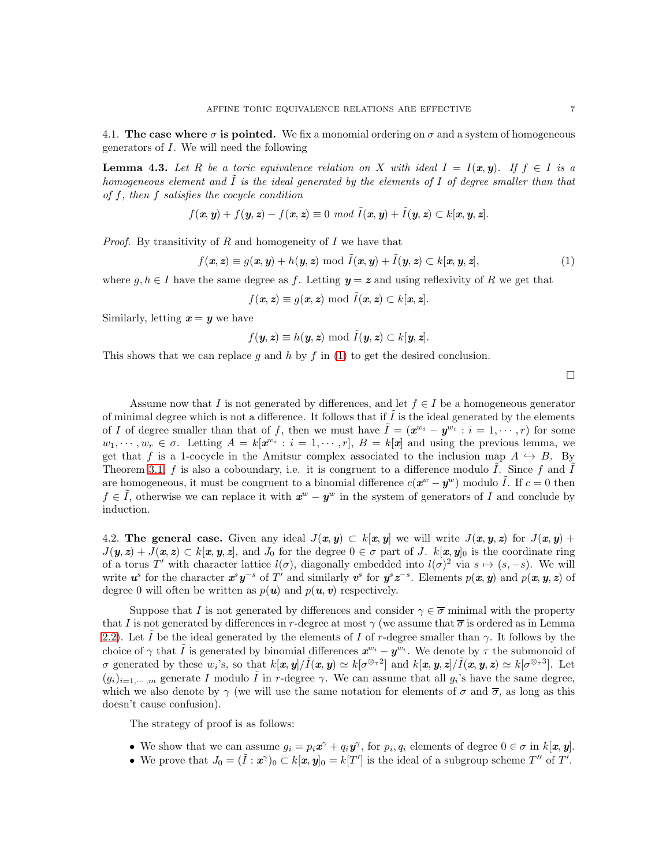4.1. The case where  $\sigma$  is pointed. We fix a monomial ordering on  $\sigma$  and a system of homogeneous generators of I. We will need the following

**Lemma 4.3.** Let R be a toric equivalence relation on X with ideal  $I = I(x, y)$ . If  $f \in I$  is a homogeneous element and  $\tilde{I}$  is the ideal generated by the elements of  $I$  of degree smaller than that of f, then f satisfies the cocycle condition

$$
f(\mathbf{x}, \mathbf{y}) + f(\mathbf{y}, \mathbf{z}) - f(\mathbf{x}, \mathbf{z}) \equiv 0 \mod \tilde{I}(\mathbf{x}, \mathbf{y}) + \tilde{I}(\mathbf{y}, \mathbf{z}) \subset k[\mathbf{x}, \mathbf{y}, \mathbf{z}].
$$

*Proof.* By transitivity of R and homogeneity of I we have that

<span id="page-6-1"></span>
$$
f(\mathbf{x}, \mathbf{z}) \equiv g(\mathbf{x}, \mathbf{y}) + h(\mathbf{y}, \mathbf{z}) \bmod \tilde{I}(\mathbf{x}, \mathbf{y}) + \tilde{I}(\mathbf{y}, \mathbf{z}) \subset k[\mathbf{x}, \mathbf{y}, \mathbf{z}],
$$
\n(1)

where  $q, h \in I$  have the same degree as f. Letting  $y = z$  and using reflexivity of R we get that

 $f(x, z) \equiv q(x, z) \bmod \tilde{I}(x, z) \subset k[x, z].$ 

Similarly, letting  $x = y$  we have

$$
f(\mathbf{y},\mathbf{z}) \equiv h(\mathbf{y},\mathbf{z}) \bmod \tilde{I}(\mathbf{y},\mathbf{z}) \subset k[\mathbf{y},\mathbf{z}].
$$

This shows that we can replace g and h by f in [\(1\)](#page-6-1) to get the desired conclusion.

 $\Box$ 

Assume now that I is not generated by differences, and let  $f \in I$  be a homogeneous generator of minimal degree which is not a difference. It follows that if  $\tilde{I}$  is the ideal generated by the elements of I of degree smaller than that of f, then we must have  $\tilde{I} = (\boldsymbol{x}^{w_i} - \boldsymbol{y}^{w_i} : i = 1, \dots, r)$  for some  $w_1, \dots, w_r \in \sigma$ . Letting  $A = k[\mathbf{x}^{w_i} : i = 1, \dots, r], B = k[\mathbf{x}]$  and using the previous lemma, we get that f is a 1-cocycle in the Amitsur complex associated to the inclusion map  $A \hookrightarrow B$ . By Theorem [3.1,](#page-4-0)  $f$  is also a coboundary, i.e. it is congruent to a difference modulo  $I$ . Since  $f$  and  $I$ are homogeneous, it must be congruent to a binomial difference  $c(\mathbf{x}^w - \mathbf{y}^w)$  modulo  $\tilde{I}$ . If  $c = 0$  then  $f \in \tilde{I}$ , otherwise we can replace it with  $x^w - y^w$  in the system of generators of I and conclude by induction.

<span id="page-6-0"></span>4.2. The general case. Given any ideal  $J(x, y) \subset k[x, y]$  we will write  $J(x, y, z)$  for  $J(x, y)$  +  $J(\mathbf{y}, \mathbf{z}) + J(\mathbf{x}, \mathbf{z}) \subset k[\mathbf{x}, \mathbf{y}, \mathbf{z}]$ , and  $J_0$  for the degree  $0 \in \sigma$  part of J.  $k[\mathbf{x}, \mathbf{y}]_0$  is the coordinate ring of a torus T' with character lattice  $l(\sigma)$ , diagonally embedded into  $l(\sigma)^2$  via  $s \mapsto (s, -s)$ . We will write  $u^s$  for the character  $x^s y^{-s}$  of T' and similarly  $v^s$  for  $y^s z^{-s}$ . Elements  $p(x, y)$  and  $p(x, y, z)$  of degree 0 will often be written as  $p(\mathbf{u})$  and  $p(\mathbf{u}, \mathbf{v})$  respectively.

Suppose that I is not generated by differences and consider  $\gamma \in \overline{\sigma}$  minimal with the property that I is not generated by differences in r-degree at most  $\gamma$  (we assume that  $\overline{\sigma}$  is ordered as in Lemma [2.2\)](#page-3-1). Let  $\tilde{I}$  be the ideal generated by the elements of  $I$  of r-degree smaller than  $\gamma$ . It follows by the choice of  $\gamma$  that  $\tilde{I}$  is generated by binomial differences  $\mathbf{x}^{w_i} - \mathbf{y}^{w_i}$ . We denote by  $\tau$  the submonoid of  $\sigma$  generated by these  $w_i$ 's, so that  $k[\mathbf{x}, \mathbf{y}] / \tilde{I}(\mathbf{x}, \mathbf{y}) \simeq k[\sigma^{\otimes_{\tau} 2}]$  and  $k[\mathbf{x}, \mathbf{y}, \mathbf{z}] / \tilde{I}(\mathbf{x}, \mathbf{y}, \mathbf{z}) \simeq k[\sigma^{\otimes_{\tau} 3}]$ . Let  $(g_i)_{i=1,\dots,m}$  generate I modulo  $\tilde{I}$  in r-degree  $\gamma$ . We can assume that all  $g_i$ 's have the same degree, which we also denote by  $\gamma$  (we will use the same notation for elements of  $\sigma$  and  $\overline{\sigma}$ , as long as this doesn't cause confusion).

The strategy of proof is as follows:

- We show that we can assume  $g_i = p_i \mathbf{x}^\gamma + q_i \mathbf{y}^\gamma$ , for  $p_i, q_i$  elements of degree  $0 \in \sigma$  in  $k[\mathbf{x}, \mathbf{y}]$ .
- We prove that  $J_0 = (\tilde{I} : \tilde{x}^{\gamma})_0 \subset k[\tilde{x}, \tilde{y}]_0 = k[T']$  is the ideal of a subgroup scheme  $T''$  of  $T'$ .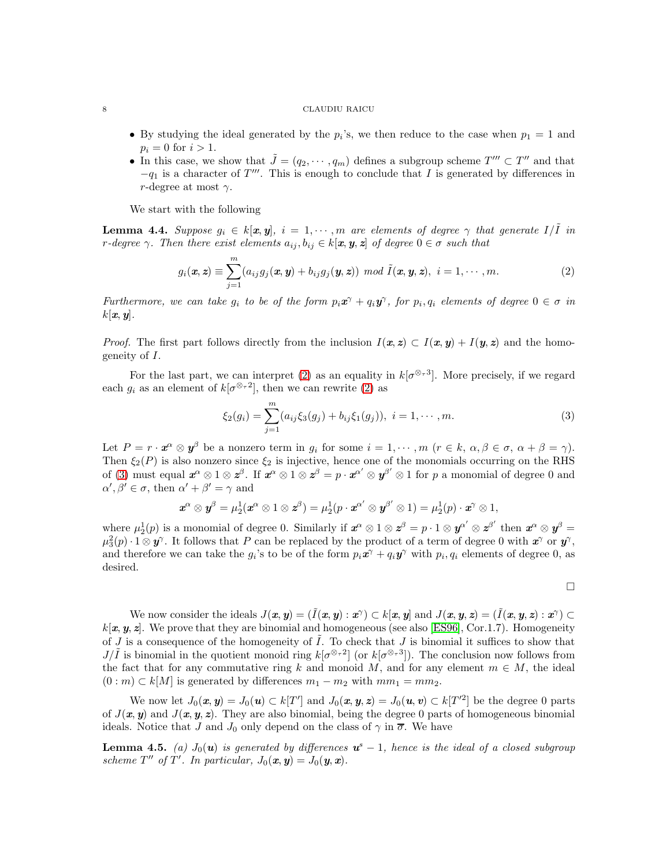- By studying the ideal generated by the  $p_i$ 's, we then reduce to the case when  $p_1 = 1$  and  $p_i = 0$  for  $i > 1$ .
- In this case, we show that  $\tilde{J} = (q_2, \dots, q_m)$  defines a subgroup scheme  $T''' \subset T''$  and that  $-q_1$  is a character of  $T'''$ . This is enough to conclude that I is generated by differences in r-degree at most  $\gamma$ .

We start with the following

<span id="page-7-2"></span>**Lemma 4.4.** Suppose  $g_i \in k[\mathbf{x}, \mathbf{y}]$ ,  $i = 1, \dots, m$  are elements of degree  $\gamma$  that generate  $I/I$  in r-degree  $\gamma$ . Then there exist elements  $a_{ij}, b_{ij} \in k[\mathbf{x}, \mathbf{y}, \mathbf{z}]$  of degree  $0 \in \sigma$  such that

<span id="page-7-0"></span>
$$
g_i(\boldsymbol{x}, \boldsymbol{z}) \equiv \sum_{j=1}^m (a_{ij}g_j(\boldsymbol{x}, \boldsymbol{y}) + b_{ij}g_j(\boldsymbol{y}, \boldsymbol{z})) \mod \tilde{I}(\boldsymbol{x}, \boldsymbol{y}, \boldsymbol{z}), \ \ i = 1, \cdots, m.
$$
 (2)

Furthermore, we can take  $g_i$  to be of the form  $p_i \mathbf{x}^\gamma + q_i \mathbf{y}^\gamma$ , for  $p_i, q_i$  elements of degree  $0 \in \sigma$  in  $k[\boldsymbol{x}, \boldsymbol{y}]$ .

*Proof.* The first part follows directly from the inclusion  $I(x, z) \subset I(x, y) + I(y, z)$  and the homogeneity of I.

For the last part, we can interpret [\(2\)](#page-7-0) as an equality in  $k[\sigma^{\otimes_{\tau}3}]$ . More precisely, if we regard each  $g_i$  as an element of  $k[\sigma^{\otimes_{\tau}2}]$ , then we can rewrite [\(2\)](#page-7-0) as

<span id="page-7-1"></span>
$$
\xi_2(g_i) = \sum_{j=1}^m (a_{ij}\xi_3(g_j) + b_{ij}\xi_1(g_j)), \ i = 1, \cdots, m.
$$
 (3)

Let  $P = r \cdot \mathbf{x}^{\alpha} \otimes \mathbf{y}^{\beta}$  be a nonzero term in  $g_i$  for some  $i = 1, \dots, m$   $(r \in k, \alpha, \beta \in \sigma, \alpha + \beta = \gamma)$ . Then  $\xi_2(P)$  is also nonzero since  $\xi_2$  is injective, hence one of the monomials occurring on the RHS of [\(3\)](#page-7-1) must equal  $x^{\alpha} \otimes 1 \otimes z^{\beta}$ . If  $x^{\alpha} \otimes 1 \otimes z^{\beta} = p \cdot x^{\alpha'} \otimes y^{\beta'} \otimes 1$  for p a monomial of degree 0 and  $\alpha', \beta' \in \sigma$ , then  $\alpha' + \beta' = \gamma$  and

$$
\mathbf{x}^{\alpha} \otimes \mathbf{y}^{\beta} = \mu_2^1(\mathbf{x}^{\alpha} \otimes 1 \otimes \mathbf{z}^{\beta}) = \mu_2^1(p \cdot \mathbf{x}^{\alpha'} \otimes \mathbf{y}^{\beta'} \otimes 1) = \mu_2^1(p) \cdot \mathbf{x}^{\gamma} \otimes 1,
$$

where  $\mu_2^1(p)$  is a monomial of degree 0. Similarly if  $x^{\alpha} \otimes 1 \otimes z^{\beta} = p \cdot 1 \otimes y^{\alpha'} \otimes z^{\beta'}$  then  $x^{\alpha} \otimes y^{\beta} =$  $\mu_3^2(p) \cdot 1 \otimes y^{\gamma}$ . It follows that P can be replaced by the product of a term of degree 0 with  $x^{\gamma}$  or  $y^{\gamma}$ , and therefore we can take the  $g_i$ 's to be of the form  $p_i \mathbf{x}^\gamma + q_i \mathbf{y}^\gamma$  with  $p_i, q_i$  elements of degree 0, as desired.

$$
\qquad \qquad \Box
$$

We now consider the ideals  $J(\pmb{x},\pmb{y}) = (\tilde{I}(\pmb{x},\pmb{y}):\pmb{x}^\gamma) \subset k[\pmb{x},\pmb{y}]$  and  $J(\pmb{x},\pmb{y},\pmb{z}) = (\tilde{I}(\pmb{x},\pmb{y},\pmb{z}):\pmb{x}^\gamma) \subset k[\pmb{x},\pmb{y}]$  $k[\mathbf{x}, \mathbf{y}, \mathbf{z}]$ . We prove that they are binomial and homogeneous (see also [\[ES96\]](#page-11-9), Cor.1.7). Homogeneity of  $J$  is a consequence of the homogeneity of  $I$ . To check that  $J$  is binomial it suffices to show that  $J/\tilde{I}$  is binomial in the quotient monoid ring  $k[\sigma^{\otimes_{\tau}2}]$  (or  $k[\sigma^{\otimes_{\tau}3}]$ ). The conclusion now follows from the fact that for any commutative ring k and monoid M, and for any element  $m \in M$ , the ideal  $(0 : m) \subset k[M]$  is generated by differences  $m_1 - m_2$  with  $mm_1 = mm_2$ .

We now let  $J_0(x, y) = J_0(u) \subset k[T']$  and  $J_0(x, y, z) = J_0(u, v) \subset k[T'^2]$  be the degree 0 parts of  $J(x, y)$  and  $J(x, y, z)$ . They are also binomial, being the degree 0 parts of homogeneous binomial ideals. Notice that J and  $J_0$  only depend on the class of  $\gamma$  in  $\overline{\sigma}$ . We have

**Lemma 4.5.** (a)  $J_0(u)$  is generated by differences  $u^s - 1$ , hence is the ideal of a closed subgroup scheme T'' of T'. In particular,  $J_0(\mathbf{x}, \mathbf{y}) = J_0(\mathbf{y}, \mathbf{x})$ .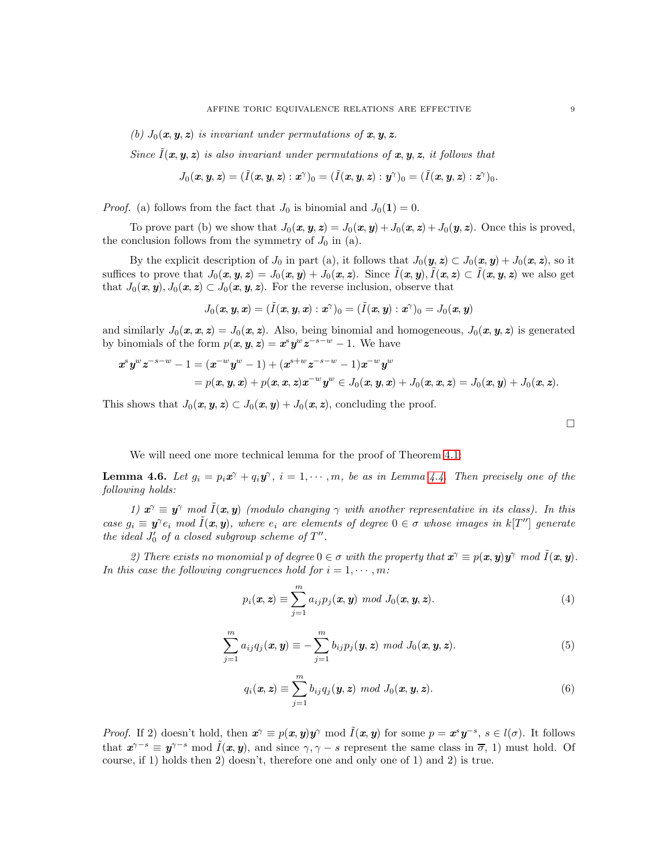(b)  $J_0(x, y, z)$  is invariant under permutations of  $x, y, z$ .

Since  $\tilde{I}(\boldsymbol{x}, \boldsymbol{y}, \boldsymbol{z})$  is also invariant under permutations of  $\boldsymbol{x}, \boldsymbol{y}, \boldsymbol{z}$ , it follows that

$$
J_0(\textit{\textbf{x}},\textit{\textbf{y}},\textit{\textbf{z}})=(\tilde{I}(\textit{\textbf{x}},\textit{\textbf{y}},\textit{\textbf{z}}):\textit{\textbf{x}}^\gamma)_0=(\tilde{I}(\textit{\textbf{x}},\textit{\textbf{y}},\textit{\textbf{z}}):\textit{\textbf{y}}^\gamma)_0=(\tilde{I}(\textit{\textbf{x}},\textit{\textbf{y}},\textit{\textbf{z}}):\textit{\textbf{z}}^\gamma)_0.
$$

*Proof.* (a) follows from the fact that  $J_0$  is binomial and  $J_0(1) = 0$ .

To prove part (b) we show that  $J_0(x, y, z) = J_0(x, y) + J_0(x, z) + J_0(y, z)$ . Once this is proved, the conclusion follows from the symmetry of  $J_0$  in (a).

By the explicit description of  $J_0$  in part (a), it follows that  $J_0(\mathbf{y}, \mathbf{z}) \subset J_0(\mathbf{x}, \mathbf{y}) + J_0(\mathbf{x}, \mathbf{z})$ , so it suffices to prove that  $J_0(x, y, z) = J_0(x, y) + J_0(x, z)$ . Since  $\tilde{I}(x, y)$ ,  $\tilde{I}(x, z) \subset \tilde{I}(x, y, z)$  we also get that  $J_0(\mathbf{x}, \mathbf{y}), J_0(\mathbf{x}, \mathbf{z}) \subset J_0(\mathbf{x}, \mathbf{y}, \mathbf{z})$ . For the reverse inclusion, observe that

$$
J_0(\textit{\textbf{x}},\textit{\textbf{y}},\textit{\textbf{x}})=(\tilde{I}(\textit{\textbf{x}},\textit{\textbf{y}},\textit{\textbf{x}}):\textit{\textbf{x}}^\gamma)_0=(\tilde{I}(\textit{\textbf{x}},\textit{\textbf{y}}):\textit{\textbf{x}}^\gamma)_0=J_0(\textit{\textbf{x}},\textit{\textbf{y}})
$$

and similarly  $J_0(x, x, z) = J_0(x, z)$ . Also, being binomial and homogeneous,  $J_0(x, y, z)$  is generated by binomials of the form  $p(x, y, z) = x^s y^w z^{-s-w} - 1$ . We have

$$
x^s y^w z^{-s-w} - 1 = (x^{-w} y^w - 1) + (x^{s+w} z^{-s-w} - 1) x^{-w} y^w
$$
  
=  $p(x, y, x) + p(x, x, z) x^{-w} y^w \in J_0(x, y, x) + J_0(x, x, z) = J_0(x, y) + J_0(x, z).$ 

This shows that  $J_0(\mathbf{x}, \mathbf{y}, \mathbf{z}) \subset J_0(\mathbf{x}, \mathbf{y}) + J_0(\mathbf{x}, \mathbf{z})$ , concluding the proof.

 $\Box$ 

We will need one more technical lemma for the proof of Theorem [4.1:](#page-5-0)

<span id="page-8-2"></span>**Lemma 4.6.** Let  $g_i = p_i x^\gamma + q_i y^\gamma$ ,  $i = 1, \dots, m$ , be as in Lemma [4.4.](#page-7-2) Then precisely one of the following holds:

1)  $x^{\gamma} \equiv y^{\gamma}$  mod  $\tilde{I}(x, y)$  (modulo changing  $\gamma$  with another representative in its class). In this case  $g_i \equiv \mathbf{y}^\gamma e_i \mod \tilde{I}(\mathbf{x}, \mathbf{y})$ , where  $e_i$  are elements of degree  $0 \in \sigma$  whose images in  $k[T'']$  generate the ideal  $J'_0$  of a closed subgroup scheme of  $T''$ .

2) There exists no monomial p of degree  $0 \in \sigma$  with the property that  $\mathbf{x}^{\gamma} \equiv p(\mathbf{x}, \mathbf{y}) \mathbf{y}^{\gamma} \mod \tilde{I}(\mathbf{x}, \mathbf{y})$ . In this case the following congruences hold for  $i = 1, \dots, m$ :

<span id="page-8-0"></span>
$$
p_i(\mathbf{x}, \mathbf{z}) \equiv \sum_{j=1}^m a_{ij} p_j(\mathbf{x}, \mathbf{y}) \mod J_0(\mathbf{x}, \mathbf{y}, \mathbf{z}).
$$
\n(4)

$$
\sum_{j=1}^{m} a_{ij} q_j(\boldsymbol{x}, \boldsymbol{y}) \equiv -\sum_{j=1}^{m} b_{ij} p_j(\boldsymbol{y}, \boldsymbol{z}) \mod J_0(\boldsymbol{x}, \boldsymbol{y}, \boldsymbol{z}). \tag{5}
$$

<span id="page-8-1"></span>
$$
q_i(\mathbf{x}, \mathbf{z}) \equiv \sum_{j=1}^m b_{ij} q_j(\mathbf{y}, \mathbf{z}) \mod J_0(\mathbf{x}, \mathbf{y}, \mathbf{z}).
$$
\n(6)

*Proof.* If 2) doesn't hold, then  $x^{\gamma} \equiv p(x, y)y^{\gamma} \mod \tilde{I}(x, y)$  for some  $p = x^{s}y^{-s}, s \in l(\sigma)$ . It follows that  $x^{\gamma-s} \equiv y^{\gamma-s} \mod \tilde{I}(x, y)$ , and since  $\gamma, \gamma-s$  represent the same class in  $\overline{\sigma}$ , 1) must hold. Of course, if 1) holds then 2) doesn't, therefore one and only one of 1) and 2) is true.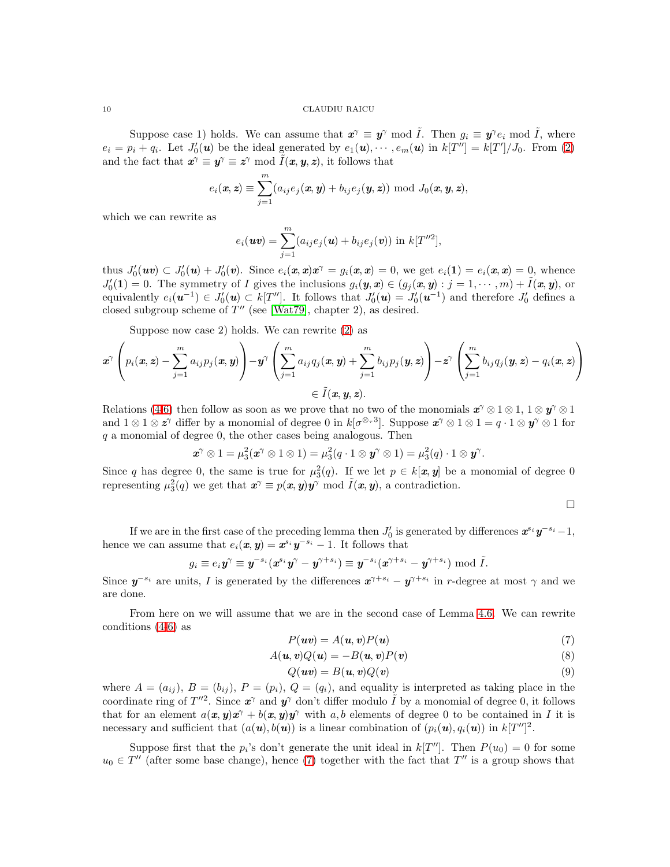Suppose case 1) holds. We can assume that  $x^{\gamma} \equiv y^{\gamma} \mod \tilde{I}$ . Then  $g_i \equiv y^{\gamma} e_i \mod \tilde{I}$ , where  $e_i = p_i + q_i$ . Let  $J'_0(\mathbf{u})$  be the ideal generated by  $e_1(\mathbf{u}), \dots, e_m(\mathbf{u})$  in  $k[T''] = k[T']/J_0$ . From [\(2\)](#page-7-0) and the fact that  $x^{\gamma} \equiv y^{\gamma} \equiv z^{\gamma} \mod \tilde{I}(x, y, z)$ , it follows that

$$
e_i(\boldsymbol{x}, \boldsymbol{z}) \equiv \sum_{j=1}^m (a_{ij}e_j(\boldsymbol{x}, \boldsymbol{y}) + b_{ij}e_j(\boldsymbol{y}, \boldsymbol{z})) \bmod J_0(\boldsymbol{x}, \boldsymbol{y}, \boldsymbol{z}),
$$

which we can rewrite as

$$
e_i(\boldsymbol{uv}) = \sum_{j=1}^m (a_{ij}e_j(\boldsymbol{u}) + b_{ij}e_j(\boldsymbol{v})) \text{ in } k[T''^2],
$$

thus  $J'_0(wv) \subset J'_0(w) + J'_0(v)$ . Since  $e_i(x,x)x^\gamma = g_i(x,x) = 0$ , we get  $e_i(1) = e_i(x,x) = 0$ , whence  $J'_0(1) = 0$ . The symmetry of I gives the inclusions  $g_i(\mathbf{y}, \mathbf{x}) \in (g_j(\mathbf{x}, \mathbf{y}) : j = 1, \cdots, m) + \tilde{I}(\mathbf{x}, \mathbf{y})$ , or equivalently  $e_i(\mathbf{u}^{-1}) \in J'_0(\mathbf{u}) \subset k[T'']$ . It follows that  $J'_0(\mathbf{u}) = J'_0(\mathbf{u}^{-1})$  and therefore  $J'_0$  defines a closed subgroup scheme of  $T''$  (see [\[Wat79\]](#page-12-1), chapter 2), as desired.

Suppose now case 2) holds. We can rewrite [\(2\)](#page-7-0) as

$$
\boldsymbol{x}^{\gamma}\left(p_i(\boldsymbol{x},\boldsymbol{z})-\sum_{j=1}^{m}a_{ij}p_j(\boldsymbol{x},\boldsymbol{y})\right)-\boldsymbol{y}^{\gamma}\left(\sum_{j=1}^{m}a_{ij}q_j(\boldsymbol{x},\boldsymbol{y})+\sum_{j=1}^{m}b_{ij}p_j(\boldsymbol{y},\boldsymbol{z})\right)-\boldsymbol{z}^{\gamma}\left(\sum_{j=1}^{m}b_{ij}q_j(\boldsymbol{y},\boldsymbol{z})-q_i(\boldsymbol{x},\boldsymbol{z})\right)\\ \in \tilde{I}(\boldsymbol{x},\boldsymbol{y},\boldsymbol{z}).
$$

Relations [\(4-](#page-8-0)[6\)](#page-8-1) then follow as soon as we prove that no two of the monomials  $x^{\gamma} \otimes 1 \otimes 1$ ,  $1 \otimes y^{\gamma} \otimes 1$ and  $1 \otimes 1 \otimes \boldsymbol{z}^{\gamma}$  differ by a monomial of degree 0 in  $k[\sigma^{\otimes_{\tau}3}]$ . Suppose  $\boldsymbol{x}^{\gamma} \otimes 1 \otimes 1 = q \cdot 1 \otimes \boldsymbol{y}^{\gamma} \otimes 1$  for  $q$  a monomial of degree 0, the other cases being analogous. Then

$$
\boldsymbol{x}^{\gamma} \otimes 1 = \mu_3^2(\boldsymbol{x}^{\gamma} \otimes 1 \otimes 1) = \mu_3^2(q \cdot 1 \otimes \boldsymbol{y}^{\gamma} \otimes 1) = \mu_3^2(q) \cdot 1 \otimes \boldsymbol{y}^{\gamma}.
$$

Since q has degree 0, the same is true for  $\mu_3^2(q)$ . If we let  $p \in k[\mathbf{x}, \mathbf{y}]$  be a monomial of degree 0 representing  $\mu_3^2(q)$  we get that  $\mathbf{x}^\gamma \equiv p(\mathbf{x}, \mathbf{y}) \mathbf{y}^\gamma \bmod \tilde{I}(\mathbf{x}, \mathbf{y})$ , a contradiction.

 $\Box$ 

If we are in the first case of the preceding lemma then  $J'_0$  is generated by differences  $x^{s_i}y^{-s_i}-1$ , hence we can assume that  $e_i(x, y) = x^{s_i}y^{-s_i} - 1$ . It follows that

$$
g_i \equiv e_i \boldsymbol y^{\gamma} \equiv \boldsymbol y^{-s_i} (\boldsymbol x^{s_i} \boldsymbol y^{\gamma} - \boldsymbol y^{\gamma+s_i}) \equiv \boldsymbol y^{-s_i} (\boldsymbol x^{\gamma+s_i} - \boldsymbol y^{\gamma+s_i}) \bmod \tilde{I}.
$$

Since  $y^{-s_i}$  are units, I is generated by the differences  $x^{\gamma+s_i} - y^{\gamma+s_i}$  in r-degree at most  $\gamma$  and we are done.

From here on we will assume that we are in the second case of Lemma [4.6.](#page-8-2) We can rewrite conditions [\(4](#page-8-0)[-6\)](#page-8-1) as

<span id="page-9-0"></span>
$$
P(\boldsymbol{uv}) = A(\boldsymbol{u}, \boldsymbol{v}) P(\boldsymbol{u}) \tag{7}
$$

<span id="page-9-1"></span>
$$
A(\mathbf{u}, \mathbf{v})Q(\mathbf{u}) = -B(\mathbf{u}, \mathbf{v})P(\mathbf{v})
$$
\n(8)

<span id="page-9-2"></span>
$$
Q(\boldsymbol{u}\boldsymbol{v}) = B(\boldsymbol{u},\boldsymbol{v})Q(\boldsymbol{v})\tag{9}
$$

where  $A = (a_{ij}), B = (b_{ij}), P = (p_i), Q = (q_i)$ , and equality is interpreted as taking place in the coordinate ring of  $T''^2$ . Since  $x^{\gamma}$  and  $y^{\gamma}$  don't differ modulo  $\tilde{I}$  by a monomial of degree 0, it follows that for an element  $a(x, y)x^{\gamma} + b(x, y)y^{\gamma}$  with a, b elements of degree 0 to be contained in I it is necessary and sufficient that  $(a(\mathbf{u}), b(\mathbf{u}))$  is a linear combination of  $(p_i(\mathbf{u}), q_i(\mathbf{u}))$  in  $k[T'']^2$ .

Suppose first that the  $p_i$ 's don't generate the unit ideal in  $k[T'']$ . Then  $P(u_0) = 0$  for some  $u_0 \in T''$  (after some base change), hence [\(7\)](#page-9-0) together with the fact that  $T''$  is a group shows that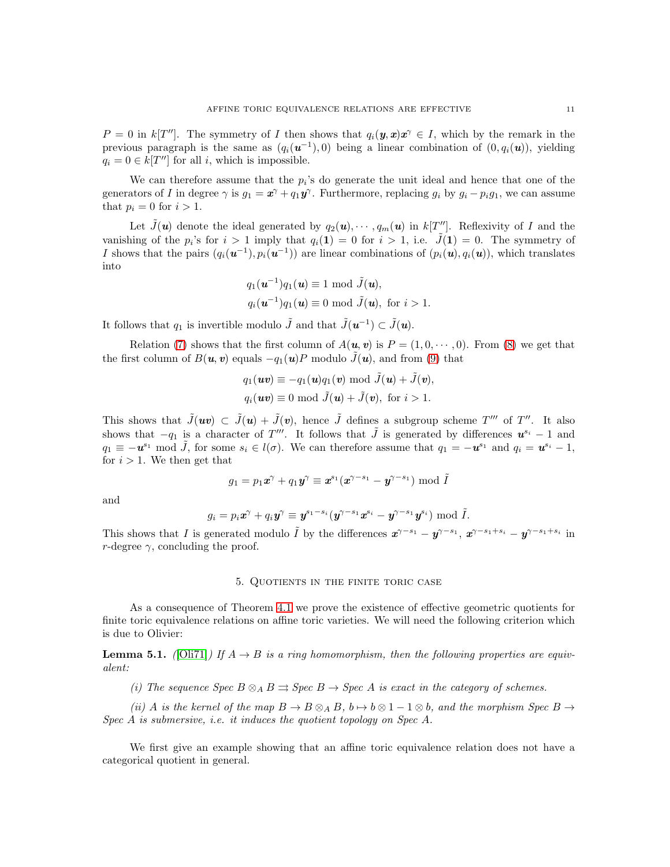$P = 0$  in k[T'']. The symmetry of I then shows that  $q_i(\mathbf{y}, \mathbf{x})\mathbf{x}^{\gamma} \in I$ , which by the remark in the previous paragraph is the same as  $(q_i(\mathbf{u}^{-1}), 0)$  being a linear combination of  $(0, q_i(\mathbf{u}))$ , yielding  $q_i = 0 \in k[T'']$  for all i, which is impossible.

We can therefore assume that the  $p_i$ 's do generate the unit ideal and hence that one of the generators of I in degree  $\gamma$  is  $g_1 = \mathbf{x}^\gamma + q_1 \mathbf{y}^\gamma$ . Furthermore, replacing  $g_i$  by  $g_i - p_i g_1$ , we can assume that  $p_i = 0$  for  $i > 1$ .

Let  $\tilde{J}(\boldsymbol{u})$  denote the ideal generated by  $q_2(\boldsymbol{u}), \cdots, q_m(\boldsymbol{u})$  in  $k[T'']$ . Reflexivity of I and the vanishing of the  $p_i$ 's for  $i > 1$  imply that  $q_i(1) = 0$  for  $i > 1$ , i.e.  $\tilde{J}(1) = 0$ . The symmetry of I shows that the pairs  $(q_i(\mathbf{u}^{-1}), p_i(\mathbf{u}^{-1}))$  are linear combinations of  $(p_i(\mathbf{u}), q_i(\mathbf{u}))$ , which translates into

$$
q_1(\mathbf{u}^{-1})q_1(\mathbf{u}) \equiv 1 \mod \tilde{J}(\mathbf{u}),
$$
  

$$
q_i(\mathbf{u}^{-1})q_1(\mathbf{u}) \equiv 0 \mod \tilde{J}(\mathbf{u}), \text{ for } i > 1.
$$

It follows that  $q_1$  is invertible modulo  $\tilde{J}$  and that  $\tilde{J}(\boldsymbol{u}^{-1}) \subset \tilde{J}(\boldsymbol{u})$ .

Relation [\(7\)](#page-9-0) shows that the first column of  $A(\mathbf{u}, \mathbf{v})$  is  $P = (1, 0, \dots, 0)$ . From [\(8\)](#page-9-1) we get that the first column of  $B(\mathbf{u}, \mathbf{v})$  equals  $-q_1(\mathbf{u})P$  modulo  $\tilde{J}(\mathbf{u})$ , and from [\(9\)](#page-9-2) that

$$
q_1(\boldsymbol{uv}) \equiv -q_1(\boldsymbol{u})q_1(\boldsymbol{v}) \bmod \tilde{J}(\boldsymbol{u}) + \tilde{J}(\boldsymbol{v}),
$$
  

$$
q_i(\boldsymbol{uv}) \equiv 0 \bmod \tilde{J}(\boldsymbol{u}) + \tilde{J}(\boldsymbol{v}), \text{ for } i > 1.
$$

This shows that  $\tilde{J}(uv) \subset \tilde{J}(u) + \tilde{J}(v)$ , hence  $\tilde{J}$  defines a subgroup scheme  $T'''$  of  $T''$ . It also shows that  $-q_1$  is a character of T'''. It follows that  $\tilde{J}$  is generated by differences  $u^{s_i} - 1$  and  $q_1 \equiv -\boldsymbol{u}^{s_1} \mod \tilde{J}$ , for some  $s_i \in l(\sigma)$ . We can therefore assume that  $q_1 = -\boldsymbol{u}^{s_1}$  and  $q_i = \boldsymbol{u}^{s_i} - 1$ , for  $i > 1$ . We then get that

$$
g_1 = p_1 \mathbf{x}^\gamma + q_1 \mathbf{y}^\gamma \equiv \mathbf{x}^{s_1} (\mathbf{x}^{\gamma - s_1} - \mathbf{y}^{\gamma - s_1}) \bmod \tilde{I}
$$

and

$$
g_i = p_i \boldsymbol{x}^{\gamma} + q_i \boldsymbol{y}^{\gamma} \equiv \boldsymbol{y}^{s_1 - s_i} (\boldsymbol{y}^{\gamma - s_1} \boldsymbol{x}^{s_i} - \boldsymbol{y}^{\gamma - s_1} \boldsymbol{y}^{s_i}) \bmod \tilde{I}.
$$

<span id="page-10-1"></span>This shows that I is generated modulo  $\tilde{I}$  by the differences  $\mathbf{x}^{\gamma-s_1} - \mathbf{y}^{\gamma-s_1+s_i} - \mathbf{y}^{\gamma-s_1+s_i}$  in r-degree  $\gamma$ , concluding the proof.

# 5. Quotients in the finite toric case

As a consequence of Theorem [4.1](#page-5-0) we prove the existence of effective geometric quotients for finite toric equivalence relations on affine toric varieties. We will need the following criterion which is due to Olivier:

<span id="page-10-0"></span>**Lemma 5.1.** ([\[Oli71\]](#page-12-0)) If  $A \rightarrow B$  is a ring homomorphism, then the following properties are equivalent:

(i) The sequence Spec  $B \otimes_A B \rightrightarrows$  Spec  $B \to$  Spec A is exact in the category of schemes.

(ii) A is the kernel of the map  $B \to B \otimes_A B$ ,  $b \to b \otimes 1 - 1 \otimes b$ , and the morphism Spec  $B \to$ Spec A is submersive, i.e. it induces the quotient topology on Spec A.

We first give an example showing that an affine toric equivalence relation does not have a categorical quotient in general.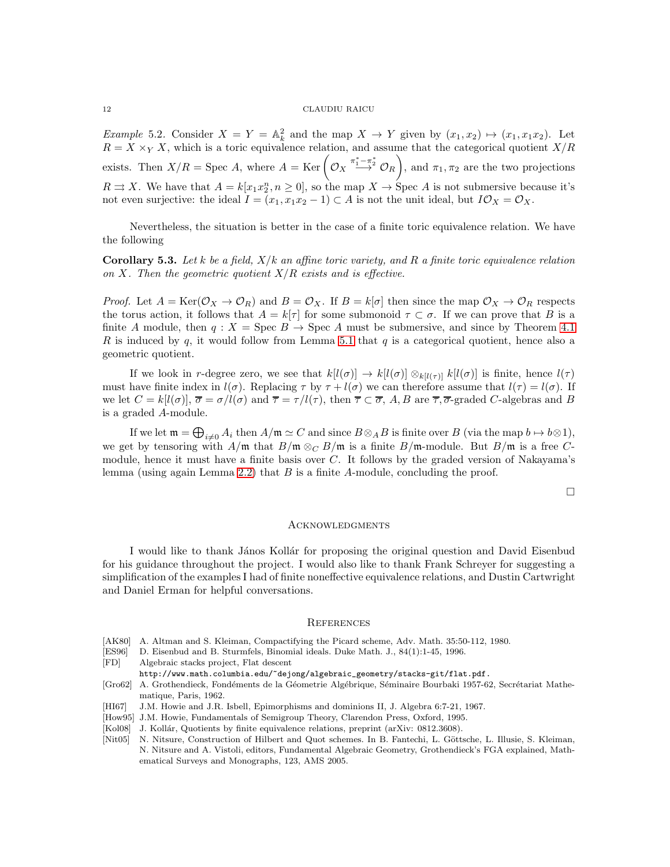<span id="page-11-4"></span>*Example* 5.2. Consider  $X = Y = \mathbb{A}_k^2$  and the map  $X \to Y$  given by  $(x_1, x_2) \mapsto (x_1, x_1x_2)$ . Let  $R = X \times_Y X$ , which is a toric equivalence relation, and assume that the categorical quotient  $X/R$ exists. Then  $X/R = \text{Spec } A$ , where  $A = \text{Ker} \left( \mathcal{O}_X \xrightarrow{\pi_1^* - \pi_2^*} \mathcal{O}_R \right)$ , and  $\pi_1, \pi_2$  are the two projections  $R \rightrightarrows X$ . We have that  $A = k[x_1x_2^n, n \geq 0]$ , so the map  $X \to \text{Spec } A$  is not submersive because it's not even surjective: the ideal  $I = (x_1, x_1x_2 - 1) \subset A$  is not the unit ideal, but  $I\mathcal{O}_X = \mathcal{O}_X$ .

Nevertheless, the situation is better in the case of a finite toric equivalence relation. We have the following

<span id="page-11-5"></span>**Corollary 5.3.** Let k be a field,  $X/k$  an affine toric variety, and R a finite toric equivalence relation on X. Then the geometric quotient  $X/R$  exists and is effective.

*Proof.* Let  $A = \text{Ker}(\mathcal{O}_X \to \mathcal{O}_R)$  and  $B = \mathcal{O}_X$ . If  $B = k[\sigma]$  then since the map  $\mathcal{O}_X \to \mathcal{O}_R$  respects the torus action, it follows that  $A = k[\tau]$  for some submonoid  $\tau \subset \sigma$ . If we can prove that B is a finite A module, then  $q : X = \text{Spec } B \to \text{Spec } A$  must be submersive, and since by Theorem [4.1](#page-5-0) R is induced by q, it would follow from Lemma [5.1](#page-10-0) that q is a categorical quotient, hence also a geometric quotient.

If we look in r-degree zero, we see that  $k[l(\sigma)] \to k[l(\sigma)] \otimes_{k[l(\tau)]} k[l(\sigma)]$  is finite, hence  $l(\tau)$ must have finite index in  $l(\sigma)$ . Replacing  $\tau$  by  $\tau + l(\sigma)$  we can therefore assume that  $l(\tau) = l(\sigma)$ . If we let  $C = k[l(\sigma)]$ ,  $\overline{\sigma} = \sigma/l(\sigma)$  and  $\overline{\tau} = \tau/l(\tau)$ , then  $\overline{\tau} \subset \overline{\sigma}$ , A, B are  $\overline{\tau}$ ,  $\overline{\sigma}$ -graded C-algebras and B is a graded A-module.

If we let  $\mathfrak{m}=\bigoplus_{i\neq 0}A_i$  then  $A/\mathfrak{m}\simeq C$  and since  $B\otimes_A B$  is finite over  $B$  (via the map  $b\mapsto b\otimes 1$ ), we get by tensoring with  $A/\mathfrak{m}$  that  $B/\mathfrak{m} \otimes_C B/\mathfrak{m}$  is a finite  $B/\mathfrak{m}$ -module. But  $B/\mathfrak{m}$  is a free Cmodule, hence it must have a finite basis over  $C$ . It follows by the graded version of Nakayama's lemma (using again Lemma [2.2\)](#page-3-1) that  $B$  is a finite A-module, concluding the proof.

 $\Box$ 

## Acknowledgments

I would like to thank János Kollár for proposing the original question and David Eisenbud for his guidance throughout the project. I would also like to thank Frank Schreyer for suggesting a simplification of the examples I had of finite noneffective equivalence relations, and Dustin Cartwright and Daniel Erman for helpful conversations.

#### **REFERENCES**

- <span id="page-11-3"></span>[AK80] A. Altman and S. Kleiman, Compactifying the Picard scheme, Adv. Math. 35:50-112, 1980.
- <span id="page-11-9"></span>[ES96] D. Eisenbud and B. Sturmfels, Binomial ideals. Duke Math. J., 84(1):1-45, 1996.
- <span id="page-11-7"></span>[FD] Algebraic stacks project, Flat descent
- http://www.math.columbia.edu/~dejong/algebraic\_geometry/stacks-git/flat.pdf.
- <span id="page-11-2"></span>[Gro62] A. Grothendieck, Fondéments de la Géometrie Algébrique, Séminaire Bourbaki 1957-62, Secrétariat Mathematique, Paris, 1962.
- <span id="page-11-8"></span>[HI67] J.M. Howie and J.R. Isbell, Epimorphisms and dominions II, J. Algebra 6:7-21, 1967.
- <span id="page-11-6"></span>[How95] J.M. Howie, Fundamentals of Semigroup Theory, Clarendon Press, Oxford, 1995.
- <span id="page-11-0"></span>[Kol08] J. Kollár, Quotients by finite equivalence relations, preprint (arXiv: 0812.3608).

<span id="page-11-1"></span>[Nit05] N. Nitsure, Construction of Hilbert and Quot schemes. In B. Fantechi, L. Göttsche, L. Illusie, S. Kleiman, N. Nitsure and A. Vistoli, editors, Fundamental Algebraic Geometry, Grothendieck's FGA explained, Mathematical Surveys and Monographs, 123, AMS 2005.